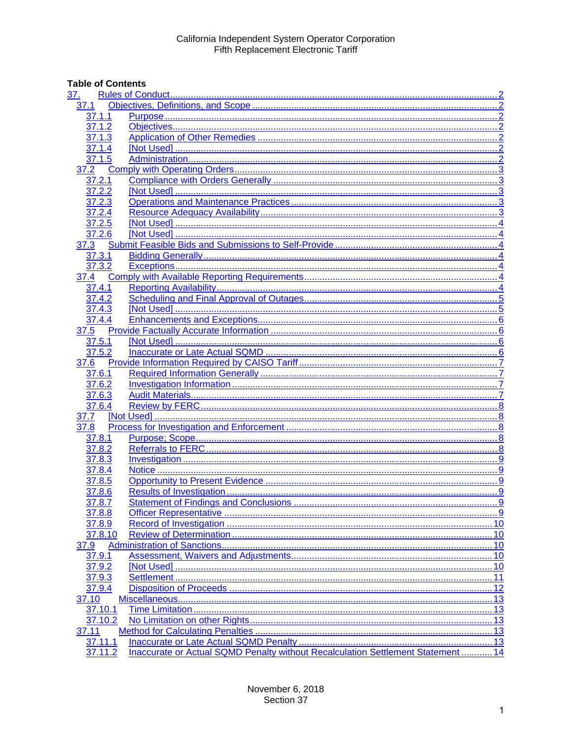# **Table of Contents**

| <u>37.</u>          |                                                                                  |  |
|---------------------|----------------------------------------------------------------------------------|--|
| 37.1                |                                                                                  |  |
| 37.1.1              |                                                                                  |  |
| $37.1.\overline{2}$ |                                                                                  |  |
| 37.1.3              |                                                                                  |  |
| 37.1.4              |                                                                                  |  |
| 37.1.5              |                                                                                  |  |
| 37.2                |                                                                                  |  |
| 37.2.1              |                                                                                  |  |
| 37.2.2              |                                                                                  |  |
| 37.2.3              |                                                                                  |  |
| 37.2.4              |                                                                                  |  |
| 37.2.5              |                                                                                  |  |
| 37.2.6              |                                                                                  |  |
| 37.3                |                                                                                  |  |
| 37.3.1              |                                                                                  |  |
| 37.3.2              |                                                                                  |  |
| 37.4                |                                                                                  |  |
| 37.4.1              |                                                                                  |  |
| 37.4.2              |                                                                                  |  |
| 37.4.3              |                                                                                  |  |
| 37.4.4              |                                                                                  |  |
| 37.5                |                                                                                  |  |
| 37.5.1              |                                                                                  |  |
| 37.5.2              |                                                                                  |  |
| 37.6                |                                                                                  |  |
| 37.6.1              |                                                                                  |  |
| 37.6.2              |                                                                                  |  |
| 37.6.3              |                                                                                  |  |
| 37.6.4              |                                                                                  |  |
| 37.7                |                                                                                  |  |
| 37.8                |                                                                                  |  |
| 37.8.1              |                                                                                  |  |
| 37.8.2              |                                                                                  |  |
| 37.8.3              |                                                                                  |  |
| 37.8.4              |                                                                                  |  |
| 37.8.5              |                                                                                  |  |
| 37.8.6              |                                                                                  |  |
| 37.8.7              |                                                                                  |  |
| 37.8.8              |                                                                                  |  |
| 37.8.9              |                                                                                  |  |
| 37.8.10             |                                                                                  |  |
| 37.9                |                                                                                  |  |
| 37.9.1              |                                                                                  |  |
| 37.9.2              |                                                                                  |  |
| 37.9.3              |                                                                                  |  |
| 37.9.4              |                                                                                  |  |
| 37.10               |                                                                                  |  |
| 37.10.1             |                                                                                  |  |
| 37.10.2             |                                                                                  |  |
| 37.11               |                                                                                  |  |
| 37.11.1             |                                                                                  |  |
| 37.11.2             | Inaccurate or Actual SQMD Penalty without Recalculation Settlement Statement  14 |  |
|                     |                                                                                  |  |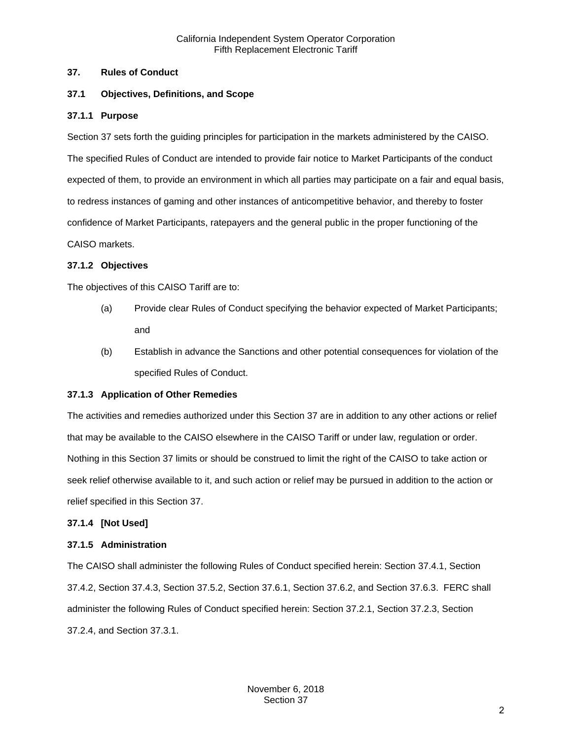#### <span id="page-1-0"></span>**37. Rules of Conduct**

#### <span id="page-1-1"></span>**37.1 Objectives, Definitions, and Scope**

#### <span id="page-1-2"></span>**37.1.1 Purpose**

Section 37 sets forth the guiding principles for participation in the markets administered by the CAISO. The specified Rules of Conduct are intended to provide fair notice to Market Participants of the conduct expected of them, to provide an environment in which all parties may participate on a fair and equal basis, to redress instances of gaming and other instances of anticompetitive behavior, and thereby to foster confidence of Market Participants, ratepayers and the general public in the proper functioning of the CAISO markets.

#### <span id="page-1-3"></span>**37.1.2 Objectives**

The objectives of this CAISO Tariff are to:

- (a) Provide clear Rules of Conduct specifying the behavior expected of Market Participants; and
- (b) Establish in advance the Sanctions and other potential consequences for violation of the specified Rules of Conduct.

#### <span id="page-1-4"></span>**37.1.3 Application of Other Remedies**

The activities and remedies authorized under this Section 37 are in addition to any other actions or relief that may be available to the CAISO elsewhere in the CAISO Tariff or under law, regulation or order. Nothing in this Section 37 limits or should be construed to limit the right of the CAISO to take action or seek relief otherwise available to it, and such action or relief may be pursued in addition to the action or relief specified in this Section 37.

#### <span id="page-1-5"></span>**37.1.4 [Not Used]**

#### <span id="page-1-6"></span>**37.1.5 Administration**

The CAISO shall administer the following Rules of Conduct specified herein: Section 37.4.1, Section 37.4.2, Section 37.4.3, Section 37.5.2, Section 37.6.1, Section 37.6.2, and Section 37.6.3. FERC shall administer the following Rules of Conduct specified herein: Section 37.2.1, Section 37.2.3, Section 37.2.4, and Section 37.3.1.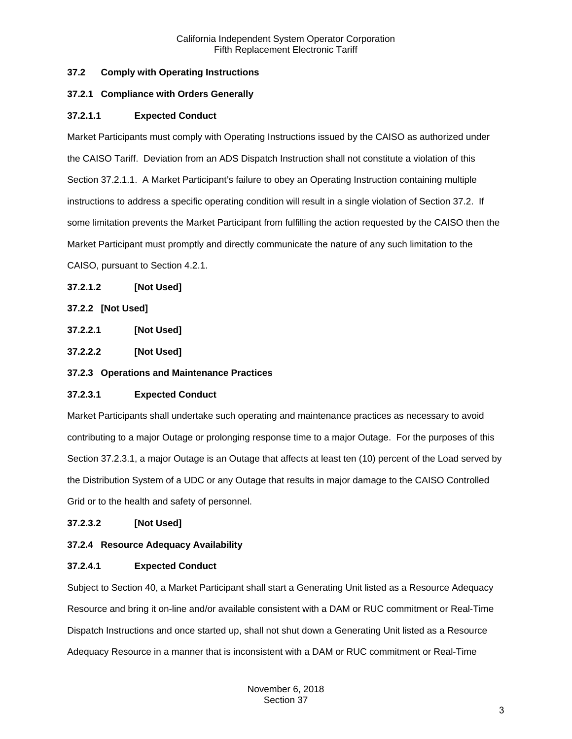# <span id="page-2-0"></span>**37.2 Comply with Operating Instructions**

## <span id="page-2-1"></span>**37.2.1 Compliance with Orders Generally**

## **37.2.1.1 Expected Conduct**

Market Participants must comply with Operating Instructions issued by the CAISO as authorized under the CAISO Tariff. Deviation from an ADS Dispatch Instruction shall not constitute a violation of this Section 37.2.1.1. A Market Participant's failure to obey an Operating Instruction containing multiple instructions to address a specific operating condition will result in a single violation of Section 37.2. If some limitation prevents the Market Participant from fulfilling the action requested by the CAISO then the Market Participant must promptly and directly communicate the nature of any such limitation to the CAISO, pursuant to Section 4.2.1.

## **37.2.1.2 [Not Used]**

# <span id="page-2-2"></span>**37.2.2 [Not Used]**

**37.2.2.1 [Not Used]**

**37.2.2.2 [Not Used]**

## <span id="page-2-3"></span>**37.2.3 Operations and Maintenance Practices**

# **37.2.3.1 Expected Conduct**

Market Participants shall undertake such operating and maintenance practices as necessary to avoid contributing to a major Outage or prolonging response time to a major Outage. For the purposes of this Section 37.2.3.1, a major Outage is an Outage that affects at least ten (10) percent of the Load served by the Distribution System of a UDC or any Outage that results in major damage to the CAISO Controlled Grid or to the health and safety of personnel.

## **37.2.3.2 [Not Used]**

## <span id="page-2-4"></span>**37.2.4 Resource Adequacy Availability**

## **37.2.4.1 Expected Conduct**

Subject to Section 40, a Market Participant shall start a Generating Unit listed as a Resource Adequacy Resource and bring it on-line and/or available consistent with a DAM or RUC commitment or Real-Time Dispatch Instructions and once started up, shall not shut down a Generating Unit listed as a Resource Adequacy Resource in a manner that is inconsistent with a DAM or RUC commitment or Real-Time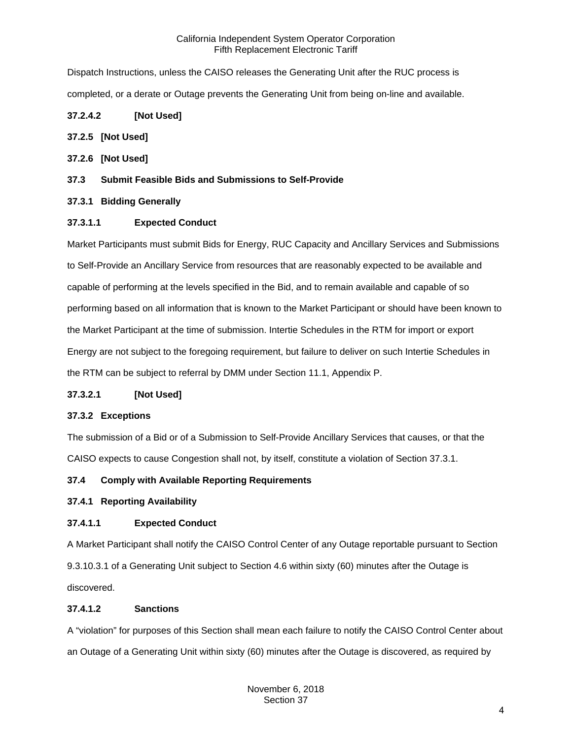Dispatch Instructions, unless the CAISO releases the Generating Unit after the RUC process is completed, or a derate or Outage prevents the Generating Unit from being on-line and available.

# **37.2.4.2 [Not Used]**

## <span id="page-3-0"></span>**37.2.5 [Not Used]**

- <span id="page-3-1"></span>**37.2.6 [Not Used]**
- <span id="page-3-2"></span>**37.3 Submit Feasible Bids and Submissions to Self-Provide**

# <span id="page-3-3"></span>**37.3.1 Bidding Generally**

# **37.3.1.1 Expected Conduct**

Market Participants must submit Bids for Energy, RUC Capacity and Ancillary Services and Submissions to Self-Provide an Ancillary Service from resources that are reasonably expected to be available and capable of performing at the levels specified in the Bid, and to remain available and capable of so performing based on all information that is known to the Market Participant or should have been known to the Market Participant at the time of submission. Intertie Schedules in the RTM for import or export Energy are not subject to the foregoing requirement, but failure to deliver on such Intertie Schedules in the RTM can be subject to referral by DMM under Section 11.1, Appendix P.

## **37.3.2.1 [Not Used]**

## <span id="page-3-4"></span>**37.3.2 Exceptions**

The submission of a Bid or of a Submission to Self-Provide Ancillary Services that causes, or that the CAISO expects to cause Congestion shall not, by itself, constitute a violation of Section 37.3.1.

# <span id="page-3-5"></span>**37.4 Comply with Available Reporting Requirements**

## <span id="page-3-6"></span>**37.4.1 Reporting Availability**

# **37.4.1.1 Expected Conduct**

A Market Participant shall notify the CAISO Control Center of any Outage reportable pursuant to Section 9.3.10.3.1 of a Generating Unit subject to Section 4.6 within sixty (60) minutes after the Outage is discovered.

## **37.4.1.2 Sanctions**

A "violation" for purposes of this Section shall mean each failure to notify the CAISO Control Center about an Outage of a Generating Unit within sixty (60) minutes after the Outage is discovered, as required by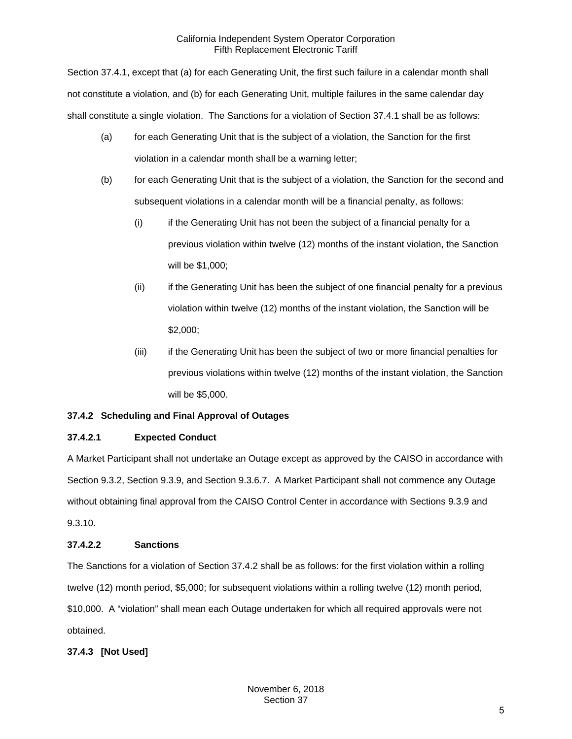Section 37.4.1, except that (a) for each Generating Unit, the first such failure in a calendar month shall not constitute a violation, and (b) for each Generating Unit, multiple failures in the same calendar day shall constitute a single violation. The Sanctions for a violation of Section 37.4.1 shall be as follows:

- (a) for each Generating Unit that is the subject of a violation, the Sanction for the first violation in a calendar month shall be a warning letter;
- (b) for each Generating Unit that is the subject of a violation, the Sanction for the second and subsequent violations in a calendar month will be a financial penalty, as follows:
	- (i) if the Generating Unit has not been the subject of a financial penalty for a previous violation within twelve (12) months of the instant violation, the Sanction will be \$1,000;
	- (ii) if the Generating Unit has been the subject of one financial penalty for a previous violation within twelve (12) months of the instant violation, the Sanction will be \$2,000;
	- (iii) if the Generating Unit has been the subject of two or more financial penalties for previous violations within twelve (12) months of the instant violation, the Sanction will be \$5,000.

# <span id="page-4-0"></span>**37.4.2 Scheduling and Final Approval of Outages**

# **37.4.2.1 Expected Conduct**

A Market Participant shall not undertake an Outage except as approved by the CAISO in accordance with Section 9.3.2, Section 9.3.9, and Section 9.3.6.7. A Market Participant shall not commence any Outage without obtaining final approval from the CAISO Control Center in accordance with Sections 9.3.9 and 9.3.10.

# **37.4.2.2 Sanctions**

The Sanctions for a violation of Section 37.4.2 shall be as follows: for the first violation within a rolling twelve (12) month period, \$5,000; for subsequent violations within a rolling twelve (12) month period, \$10,000. A "violation" shall mean each Outage undertaken for which all required approvals were not obtained.

# <span id="page-4-1"></span>**37.4.3 [Not Used]**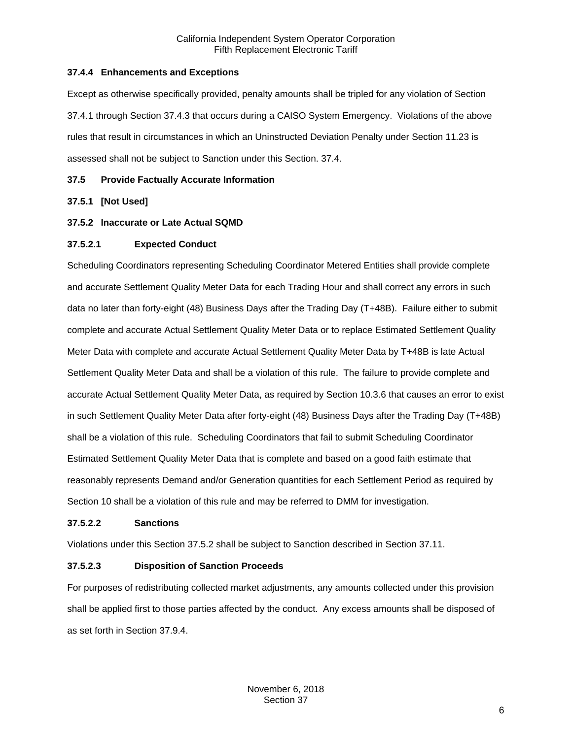## <span id="page-5-0"></span>**37.4.4 Enhancements and Exceptions**

Except as otherwise specifically provided, penalty amounts shall be tripled for any violation of Section 37.4.1 through Section 37.4.3 that occurs during a CAISO System Emergency. Violations of the above rules that result in circumstances in which an Uninstructed Deviation Penalty under Section 11.23 is assessed shall not be subject to Sanction under this Section. 37.4.

#### <span id="page-5-1"></span>**37.5 Provide Factually Accurate Information**

#### <span id="page-5-2"></span>**37.5.1 [Not Used]**

#### <span id="page-5-3"></span>**37.5.2 Inaccurate or Late Actual SQMD**

#### **37.5.2.1 Expected Conduct**

Scheduling Coordinators representing Scheduling Coordinator Metered Entities shall provide complete and accurate Settlement Quality Meter Data for each Trading Hour and shall correct any errors in such data no later than forty-eight (48) Business Days after the Trading Day (T+48B). Failure either to submit complete and accurate Actual Settlement Quality Meter Data or to replace Estimated Settlement Quality Meter Data with complete and accurate Actual Settlement Quality Meter Data by T+48B is late Actual Settlement Quality Meter Data and shall be a violation of this rule. The failure to provide complete and accurate Actual Settlement Quality Meter Data, as required by Section 10.3.6 that causes an error to exist in such Settlement Quality Meter Data after forty-eight (48) Business Days after the Trading Day (T+48B) shall be a violation of this rule. Scheduling Coordinators that fail to submit Scheduling Coordinator Estimated Settlement Quality Meter Data that is complete and based on a good faith estimate that reasonably represents Demand and/or Generation quantities for each Settlement Period as required by Section 10 shall be a violation of this rule and may be referred to DMM for investigation.

#### **37.5.2.2 Sanctions**

Violations under this Section 37.5.2 shall be subject to Sanction described in Section 37.11.

#### **37.5.2.3 Disposition of Sanction Proceeds**

For purposes of redistributing collected market adjustments, any amounts collected under this provision shall be applied first to those parties affected by the conduct. Any excess amounts shall be disposed of as set forth in Section 37.9.4.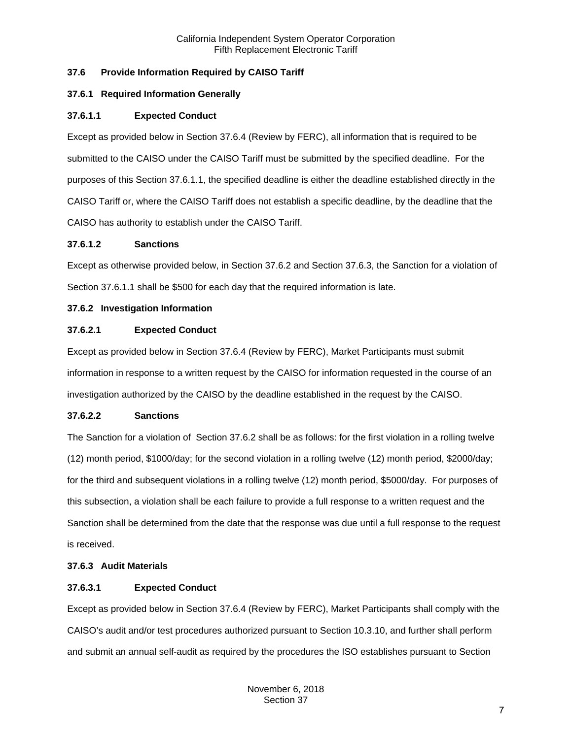# <span id="page-6-0"></span>**37.6 Provide Information Required by CAISO Tariff**

## <span id="page-6-1"></span>**37.6.1 Required Information Generally**

#### **37.6.1.1 Expected Conduct**

Except as provided below in Section 37.6.4 (Review by FERC), all information that is required to be submitted to the CAISO under the CAISO Tariff must be submitted by the specified deadline. For the purposes of this Section 37.6.1.1, the specified deadline is either the deadline established directly in the CAISO Tariff or, where the CAISO Tariff does not establish a specific deadline, by the deadline that the CAISO has authority to establish under the CAISO Tariff.

#### **37.6.1.2 Sanctions**

Except as otherwise provided below, in Section 37.6.2 and Section 37.6.3, the Sanction for a violation of Section 37.6.1.1 shall be \$500 for each day that the required information is late.

#### <span id="page-6-2"></span>**37.6.2 Investigation Information**

## **37.6.2.1 Expected Conduct**

Except as provided below in Section 37.6.4 (Review by FERC), Market Participants must submit information in response to a written request by the CAISO for information requested in the course of an investigation authorized by the CAISO by the deadline established in the request by the CAISO.

## **37.6.2.2 Sanctions**

The Sanction for a violation of Section 37.6.2 shall be as follows: for the first violation in a rolling twelve (12) month period, \$1000/day; for the second violation in a rolling twelve (12) month period, \$2000/day; for the third and subsequent violations in a rolling twelve (12) month period, \$5000/day. For purposes of this subsection, a violation shall be each failure to provide a full response to a written request and the Sanction shall be determined from the date that the response was due until a full response to the request is received.

#### <span id="page-6-3"></span>**37.6.3 Audit Materials**

## **37.6.3.1 Expected Conduct**

Except as provided below in Section 37.6.4 (Review by FERC), Market Participants shall comply with the CAISO's audit and/or test procedures authorized pursuant to Section 10.3.10, and further shall perform and submit an annual self-audit as required by the procedures the ISO establishes pursuant to Section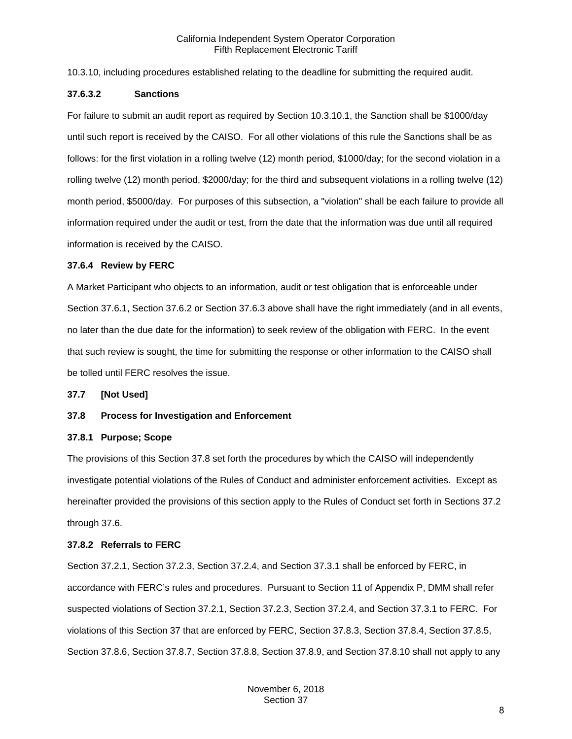10.3.10, including procedures established relating to the deadline for submitting the required audit.

#### **37.6.3.2 Sanctions**

For failure to submit an audit report as required by Section 10.3.10.1, the Sanction shall be \$1000/day until such report is received by the CAISO. For all other violations of this rule the Sanctions shall be as follows: for the first violation in a rolling twelve (12) month period, \$1000/day; for the second violation in a rolling twelve (12) month period, \$2000/day; for the third and subsequent violations in a rolling twelve (12) month period, \$5000/day. For purposes of this subsection, a "violation" shall be each failure to provide all information required under the audit or test, from the date that the information was due until all required information is received by the CAISO.

#### <span id="page-7-0"></span>**37.6.4 Review by FERC**

A Market Participant who objects to an information, audit or test obligation that is enforceable under Section 37.6.1, Section 37.6.2 or Section 37.6.3 above shall have the right immediately (and in all events, no later than the due date for the information) to seek review of the obligation with FERC. In the event that such review is sought, the time for submitting the response or other information to the CAISO shall be tolled until FERC resolves the issue.

<span id="page-7-1"></span>**37.7 [Not Used]**

## <span id="page-7-2"></span>**37.8 Process for Investigation and Enforcement**

#### <span id="page-7-3"></span>**37.8.1 Purpose; Scope**

The provisions of this Section 37.8 set forth the procedures by which the CAISO will independently investigate potential violations of the Rules of Conduct and administer enforcement activities. Except as hereinafter provided the provisions of this section apply to the Rules of Conduct set forth in Sections 37.2 through 37.6.

## <span id="page-7-4"></span>**37.8.2 Referrals to FERC**

Section 37.2.1, Section 37.2.3, Section 37.2.4, and Section 37.3.1 shall be enforced by FERC, in accordance with FERC's rules and procedures. Pursuant to Section 11 of Appendix P, DMM shall refer suspected violations of Section 37.2.1, Section 37.2.3, Section 37.2.4, and Section 37.3.1 to FERC. For violations of this Section 37 that are enforced by FERC, Section 37.8.3, Section 37.8.4, Section 37.8.5, Section 37.8.6, Section 37.8.7, Section 37.8.8, Section 37.8.9, and Section 37.8.10 shall not apply to any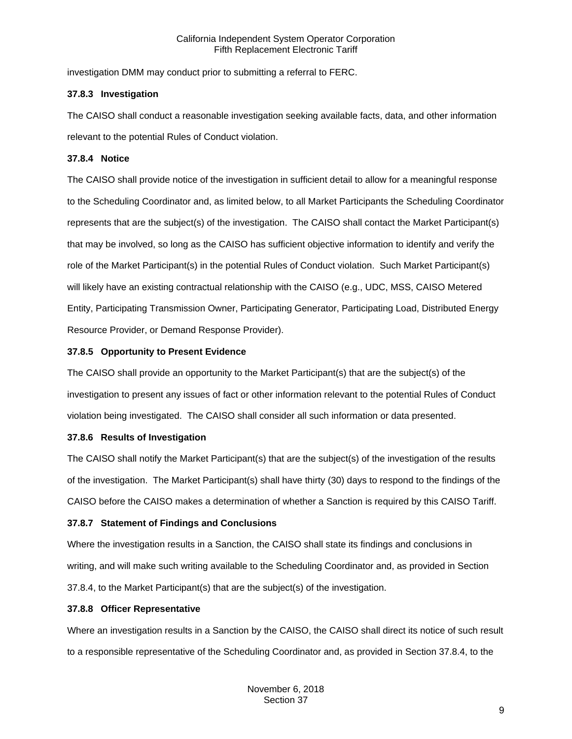investigation DMM may conduct prior to submitting a referral to FERC.

#### <span id="page-8-0"></span>**37.8.3 Investigation**

The CAISO shall conduct a reasonable investigation seeking available facts, data, and other information relevant to the potential Rules of Conduct violation.

## <span id="page-8-1"></span>**37.8.4 Notice**

The CAISO shall provide notice of the investigation in sufficient detail to allow for a meaningful response to the Scheduling Coordinator and, as limited below, to all Market Participants the Scheduling Coordinator represents that are the subject(s) of the investigation. The CAISO shall contact the Market Participant(s) that may be involved, so long as the CAISO has sufficient objective information to identify and verify the role of the Market Participant(s) in the potential Rules of Conduct violation. Such Market Participant(s) will likely have an existing contractual relationship with the CAISO (e.g., UDC, MSS, CAISO Metered Entity, Participating Transmission Owner, Participating Generator, Participating Load, Distributed Energy Resource Provider, or Demand Response Provider).

## <span id="page-8-2"></span>**37.8.5 Opportunity to Present Evidence**

The CAISO shall provide an opportunity to the Market Participant(s) that are the subject(s) of the investigation to present any issues of fact or other information relevant to the potential Rules of Conduct violation being investigated. The CAISO shall consider all such information or data presented.

## <span id="page-8-3"></span>**37.8.6 Results of Investigation**

The CAISO shall notify the Market Participant(s) that are the subject(s) of the investigation of the results of the investigation. The Market Participant(s) shall have thirty (30) days to respond to the findings of the CAISO before the CAISO makes a determination of whether a Sanction is required by this CAISO Tariff.

## <span id="page-8-4"></span>**37.8.7 Statement of Findings and Conclusions**

Where the investigation results in a Sanction, the CAISO shall state its findings and conclusions in writing, and will make such writing available to the Scheduling Coordinator and, as provided in Section 37.8.4, to the Market Participant(s) that are the subject(s) of the investigation.

## <span id="page-8-5"></span>**37.8.8 Officer Representative**

Where an investigation results in a Sanction by the CAISO, the CAISO shall direct its notice of such result to a responsible representative of the Scheduling Coordinator and, as provided in Section 37.8.4, to the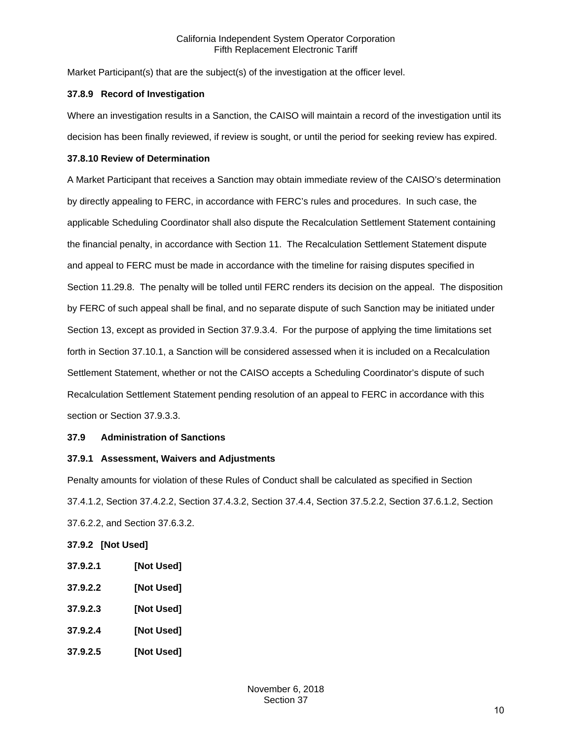Market Participant(s) that are the subject(s) of the investigation at the officer level.

## <span id="page-9-0"></span>**37.8.9 Record of Investigation**

Where an investigation results in a Sanction, the CAISO will maintain a record of the investigation until its decision has been finally reviewed, if review is sought, or until the period for seeking review has expired.

## <span id="page-9-1"></span>**37.8.10 Review of Determination**

A Market Participant that receives a Sanction may obtain immediate review of the CAISO's determination by directly appealing to FERC, in accordance with FERC's rules and procedures. In such case, the applicable Scheduling Coordinator shall also dispute the Recalculation Settlement Statement containing the financial penalty, in accordance with Section 11. The Recalculation Settlement Statement dispute and appeal to FERC must be made in accordance with the timeline for raising disputes specified in Section 11.29.8. The penalty will be tolled until FERC renders its decision on the appeal. The disposition by FERC of such appeal shall be final, and no separate dispute of such Sanction may be initiated under Section 13, except as provided in Section 37.9.3.4. For the purpose of applying the time limitations set forth in Section 37.10.1, a Sanction will be considered assessed when it is included on a Recalculation Settlement Statement, whether or not the CAISO accepts a Scheduling Coordinator's dispute of such Recalculation Settlement Statement pending resolution of an appeal to FERC in accordance with this section or Section 37.9.3.3.

# <span id="page-9-2"></span>**37.9 Administration of Sanctions**

# <span id="page-9-3"></span>**37.9.1 Assessment, Waivers and Adjustments**

Penalty amounts for violation of these Rules of Conduct shall be calculated as specified in Section 37.4.1.2, Section 37.4.2.2, Section 37.4.3.2, Section 37.4.4, Section 37.5.2.2, Section 37.6.1.2, Section 37.6.2.2, and Section 37.6.3.2.

# <span id="page-9-4"></span>**37.9.2 [Not Used]**

- **37.9.2.1 [Not Used]**
- **37.9.2.2 [Not Used]**
- **37.9.2.3 [Not Used]**
- **37.9.2.4 [Not Used]**
- **37.9.2.5 [Not Used]**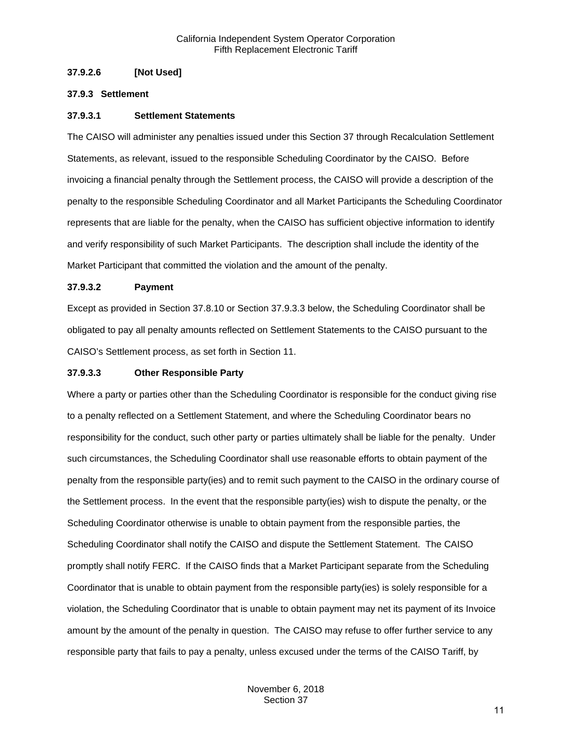## **37.9.2.6 [Not Used]**

#### <span id="page-10-0"></span>**37.9.3 Settlement**

#### **37.9.3.1 Settlement Statements**

The CAISO will administer any penalties issued under this Section 37 through Recalculation Settlement Statements, as relevant, issued to the responsible Scheduling Coordinator by the CAISO. Before invoicing a financial penalty through the Settlement process, the CAISO will provide a description of the penalty to the responsible Scheduling Coordinator and all Market Participants the Scheduling Coordinator represents that are liable for the penalty, when the CAISO has sufficient objective information to identify and verify responsibility of such Market Participants. The description shall include the identity of the Market Participant that committed the violation and the amount of the penalty.

#### **37.9.3.2 Payment**

Except as provided in Section 37.8.10 or Section 37.9.3.3 below, the Scheduling Coordinator shall be obligated to pay all penalty amounts reflected on Settlement Statements to the CAISO pursuant to the CAISO's Settlement process, as set forth in Section 11.

#### **37.9.3.3 Other Responsible Party**

Where a party or parties other than the Scheduling Coordinator is responsible for the conduct giving rise to a penalty reflected on a Settlement Statement, and where the Scheduling Coordinator bears no responsibility for the conduct, such other party or parties ultimately shall be liable for the penalty. Under such circumstances, the Scheduling Coordinator shall use reasonable efforts to obtain payment of the penalty from the responsible party(ies) and to remit such payment to the CAISO in the ordinary course of the Settlement process. In the event that the responsible party(ies) wish to dispute the penalty, or the Scheduling Coordinator otherwise is unable to obtain payment from the responsible parties, the Scheduling Coordinator shall notify the CAISO and dispute the Settlement Statement. The CAISO promptly shall notify FERC. If the CAISO finds that a Market Participant separate from the Scheduling Coordinator that is unable to obtain payment from the responsible party(ies) is solely responsible for a violation, the Scheduling Coordinator that is unable to obtain payment may net its payment of its Invoice amount by the amount of the penalty in question. The CAISO may refuse to offer further service to any responsible party that fails to pay a penalty, unless excused under the terms of the CAISO Tariff, by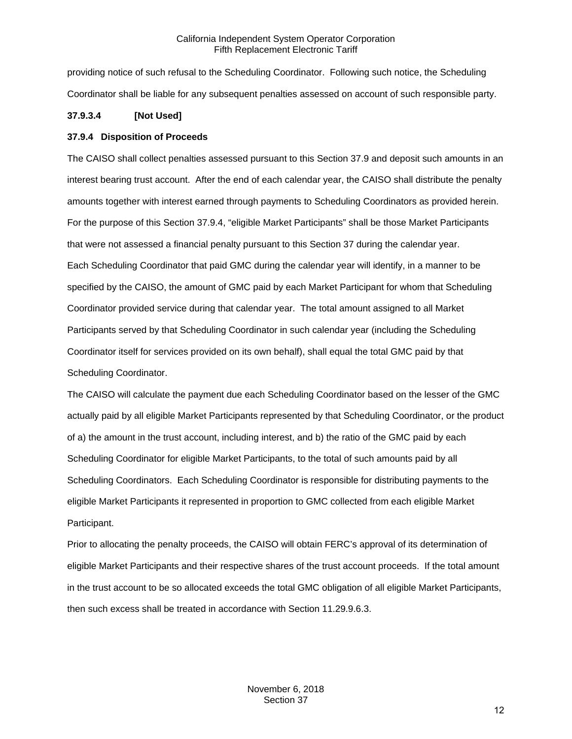providing notice of such refusal to the Scheduling Coordinator. Following such notice, the Scheduling Coordinator shall be liable for any subsequent penalties assessed on account of such responsible party.

# **37.9.3.4 [Not Used]**

# <span id="page-11-0"></span>**37.9.4 Disposition of Proceeds**

The CAISO shall collect penalties assessed pursuant to this Section 37.9 and deposit such amounts in an interest bearing trust account. After the end of each calendar year, the CAISO shall distribute the penalty amounts together with interest earned through payments to Scheduling Coordinators as provided herein. For the purpose of this Section 37.9.4, "eligible Market Participants" shall be those Market Participants that were not assessed a financial penalty pursuant to this Section 37 during the calendar year. Each Scheduling Coordinator that paid GMC during the calendar year will identify, in a manner to be specified by the CAISO, the amount of GMC paid by each Market Participant for whom that Scheduling Coordinator provided service during that calendar year. The total amount assigned to all Market Participants served by that Scheduling Coordinator in such calendar year (including the Scheduling Coordinator itself for services provided on its own behalf), shall equal the total GMC paid by that Scheduling Coordinator.

The CAISO will calculate the payment due each Scheduling Coordinator based on the lesser of the GMC actually paid by all eligible Market Participants represented by that Scheduling Coordinator, or the product of a) the amount in the trust account, including interest, and b) the ratio of the GMC paid by each Scheduling Coordinator for eligible Market Participants, to the total of such amounts paid by all Scheduling Coordinators. Each Scheduling Coordinator is responsible for distributing payments to the eligible Market Participants it represented in proportion to GMC collected from each eligible Market Participant.

Prior to allocating the penalty proceeds, the CAISO will obtain FERC's approval of its determination of eligible Market Participants and their respective shares of the trust account proceeds. If the total amount in the trust account to be so allocated exceeds the total GMC obligation of all eligible Market Participants, then such excess shall be treated in accordance with Section 11.29.9.6.3.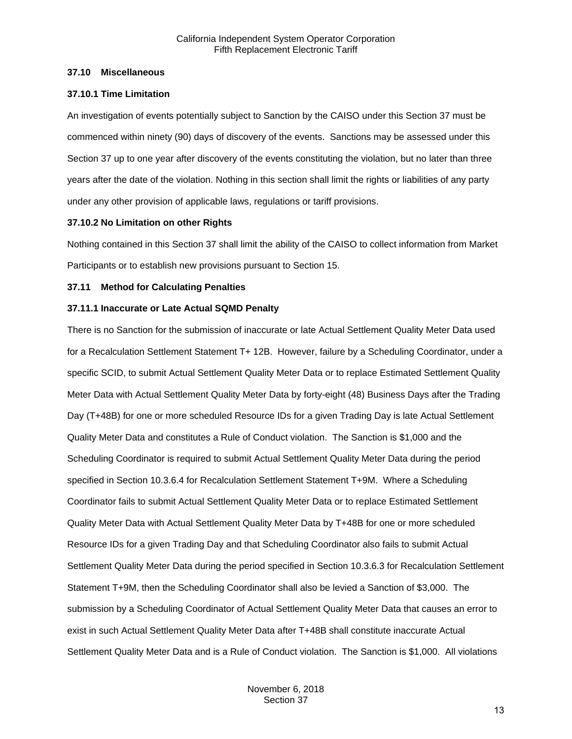#### <span id="page-12-0"></span>**37.10 Miscellaneous**

#### <span id="page-12-1"></span>**37.10.1 Time Limitation**

An investigation of events potentially subject to Sanction by the CAISO under this Section 37 must be commenced within ninety (90) days of discovery of the events. Sanctions may be assessed under this Section 37 up to one year after discovery of the events constituting the violation, but no later than three years after the date of the violation. Nothing in this section shall limit the rights or liabilities of any party under any other provision of applicable laws, regulations or tariff provisions.

#### <span id="page-12-2"></span>**37.10.2 No Limitation on other Rights**

Nothing contained in this Section 37 shall limit the ability of the CAISO to collect information from Market Participants or to establish new provisions pursuant to Section 15.

#### <span id="page-12-3"></span>**37.11 Method for Calculating Penalties**

#### <span id="page-12-4"></span>**37.11.1 Inaccurate or Late Actual SQMD Penalty**

There is no Sanction for the submission of inaccurate or late Actual Settlement Quality Meter Data used for a Recalculation Settlement Statement T+ 12B. However, failure by a Scheduling Coordinator, under a specific SCID, to submit Actual Settlement Quality Meter Data or to replace Estimated Settlement Quality Meter Data with Actual Settlement Quality Meter Data by forty-eight (48) Business Days after the Trading Day (T+48B) for one or more scheduled Resource IDs for a given Trading Day is late Actual Settlement Quality Meter Data and constitutes a Rule of Conduct violation. The Sanction is \$1,000 and the Scheduling Coordinator is required to submit Actual Settlement Quality Meter Data during the period specified in Section 10.3.6.4 for Recalculation Settlement Statement T+9M. Where a Scheduling Coordinator fails to submit Actual Settlement Quality Meter Data or to replace Estimated Settlement Quality Meter Data with Actual Settlement Quality Meter Data by T+48B for one or more scheduled Resource IDs for a given Trading Day and that Scheduling Coordinator also fails to submit Actual Settlement Quality Meter Data during the period specified in Section 10.3.6.3 for Recalculation Settlement Statement T+9M, then the Scheduling Coordinator shall also be levied a Sanction of \$3,000. The submission by a Scheduling Coordinator of Actual Settlement Quality Meter Data that causes an error to exist in such Actual Settlement Quality Meter Data after T+48B shall constitute inaccurate Actual Settlement Quality Meter Data and is a Rule of Conduct violation. The Sanction is \$1,000. All violations